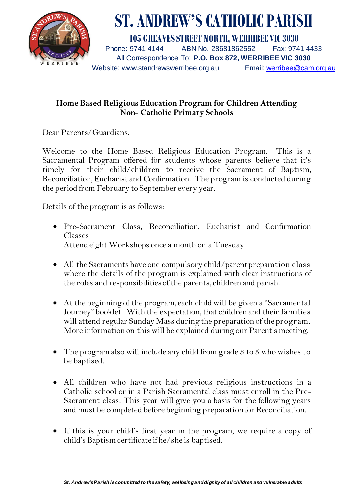

## **ST. ANDREW'S CATHOLIC PARISH**

**105 GREAVES STREET NORTH, WERRIBEE VIC 3030** Phone: 9741 4144 ABN No. 28681862552 Fax: 9741 4433 All Correspondence To: **P.O. Box 872, WERRIBEE VIC 3030** Website: www.standrewswerribee.org.au Email: werribee@cam.org.au

## **Home Based Religious Education Program for Children Attending Non- Catholic Primary Schools**

Dear Parents/Guardians,

Welcome to the Home Based Religious Education Program. This is a Sacramental Program offered for students whose parents believe that it's timely for their child/children to receive the Sacrament of Baptism, Reconciliation, Eucharist and Confirmation. The program is conducted during the period from February to September every year.

Details of the program is as follows:

- Pre-Sacrament Class, Reconciliation, Eucharist and Confirmation Classes Attend eight Workshops once a month on a Tuesday.
- All the Sacraments have one compulsory child/parent preparation class where the details of the program is explained with clear instructions of the roles and responsibilities of the parents, children and parish.
- At the beginning of the program, each child will be given a "Sacramental Journey" booklet. With the expectation, that children and their families will attend regular Sunday Mass during the preparation of the program. More information on this will be explained during our Parent's meeting.
- The program also will include any child from grade 3 to 5 who wishes to be baptised.
- All children who have not had previous religious instructions in a Catholic school or in a Parish Sacramental class must enroll in the Pre-Sacrament class. This year will give you a basis for the following years and must be completed before beginning preparation for Reconciliation.
- If this is your child's first year in the program, we require a copy of child's Baptism certificate if he/she is baptised.